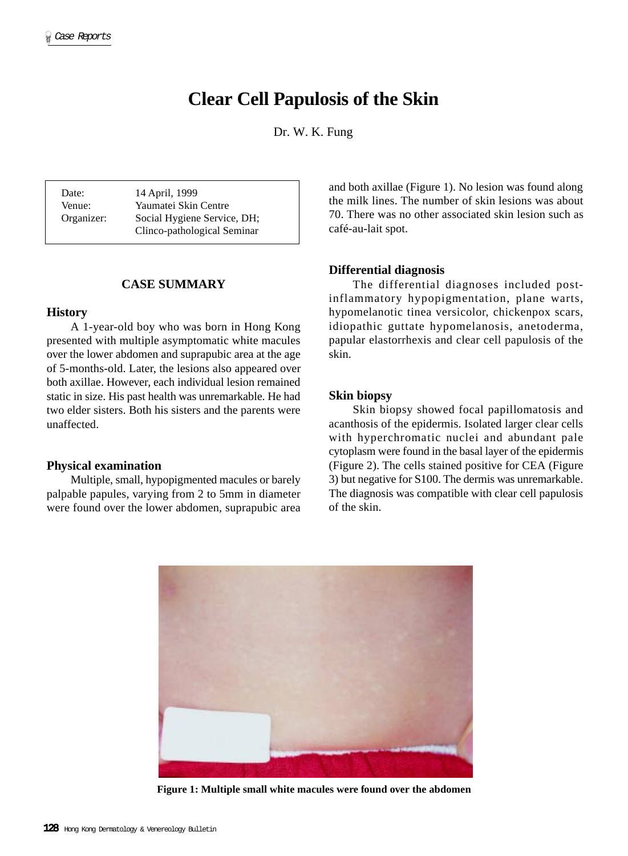# **Clear Cell Papulosis of the Skin**

Dr. W. K. Fung

Date: 14 April, 1999 Venue: Yaumatei Skin Centre Organizer: Social Hygiene Service, DH; Clinco-pathological Seminar

# **CASE SUMMARY**

# **History**

A 1-year-old boy who was born in Hong Kong presented with multiple asymptomatic white macules over the lower abdomen and suprapubic area at the age of 5-months-old. Later, the lesions also appeared over both axillae. However, each individual lesion remained static in size. His past health was unremarkable. He had two elder sisters. Both his sisters and the parents were unaffected.

# **Physical examination**

Multiple, small, hypopigmented macules or barely palpable papules, varying from 2 to 5mm in diameter were found over the lower abdomen, suprapubic area and both axillae (Figure 1). No lesion was found along the milk lines. The number of skin lesions was about 70. There was no other associated skin lesion such as café-au-lait spot.

#### **Differential diagnosis**

The differential diagnoses included postinflammatory hypopigmentation, plane warts, hypomelanotic tinea versicolor, chickenpox scars, idiopathic guttate hypomelanosis, anetoderma, papular elastorrhexis and clear cell papulosis of the skin.

## **Skin biopsy**

Skin biopsy showed focal papillomatosis and acanthosis of the epidermis. Isolated larger clear cells with hyperchromatic nuclei and abundant pale cytoplasm were found in the basal layer of the epidermis (Figure 2). The cells stained positive for CEA (Figure 3) but negative for S100. The dermis was unremarkable. The diagnosis was compatible with clear cell papulosis of the skin.



**Figure 1: Multiple small white macules were found over the abdomen**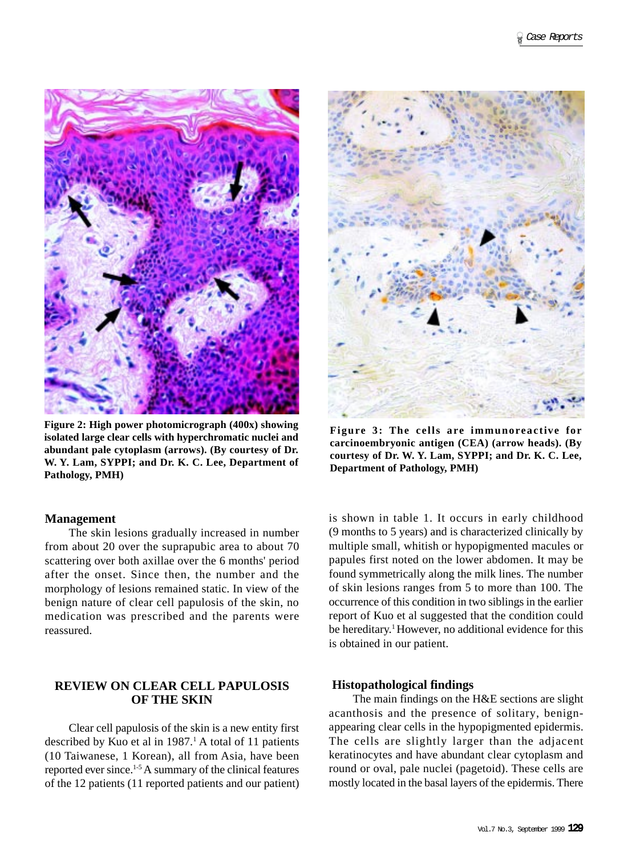

**Figure 2: High power photomicrograph (400x) showing isolated large clear cells with hyperchromatic nuclei and abundant pale cytoplasm (arrows). (By courtesy of Dr. W. Y. Lam, SYPPI; and Dr. K. C. Lee, Department of Pathology, PMH)**

#### **Management**

The skin lesions gradually increased in number from about 20 over the suprapubic area to about 70 scattering over both axillae over the 6 months' period after the onset. Since then, the number and the morphology of lesions remained static. In view of the benign nature of clear cell papulosis of the skin, no medication was prescribed and the parents were reassured.

# **REVIEW ON CLEAR CELL PAPULOSIS OF THE SKIN**

Clear cell papulosis of the skin is a new entity first described by Kuo et al in  $1987<sup>1</sup>$  A total of 11 patients (10 Taiwanese, 1 Korean), all from Asia, have been reported ever since.1-5 A summary of the clinical features of the 12 patients (11 reported patients and our patient)



**Figure 3: The cells are immunoreactive for carcinoembryonic antigen (CEA) (arrow heads). (By courtesy of Dr. W. Y. Lam, SYPPI; and Dr. K. C. Lee, Department of Pathology, PMH)**

is shown in table 1. It occurs in early childhood (9 months to 5 years) and is characterized clinically by multiple small, whitish or hypopigmented macules or papules first noted on the lower abdomen. It may be found symmetrically along the milk lines. The number of skin lesions ranges from 5 to more than 100. The occurrence of this condition in two siblings in the earlier report of Kuo et al suggested that the condition could be hereditary.<sup>1</sup> However, no additional evidence for this is obtained in our patient.

#### **Histopathological findings**

The main findings on the H&E sections are slight acanthosis and the presence of solitary, benignappearing clear cells in the hypopigmented epidermis. The cells are slightly larger than the adjacent keratinocytes and have abundant clear cytoplasm and round or oval, pale nuclei (pagetoid). These cells are mostly located in the basal layers of the epidermis. There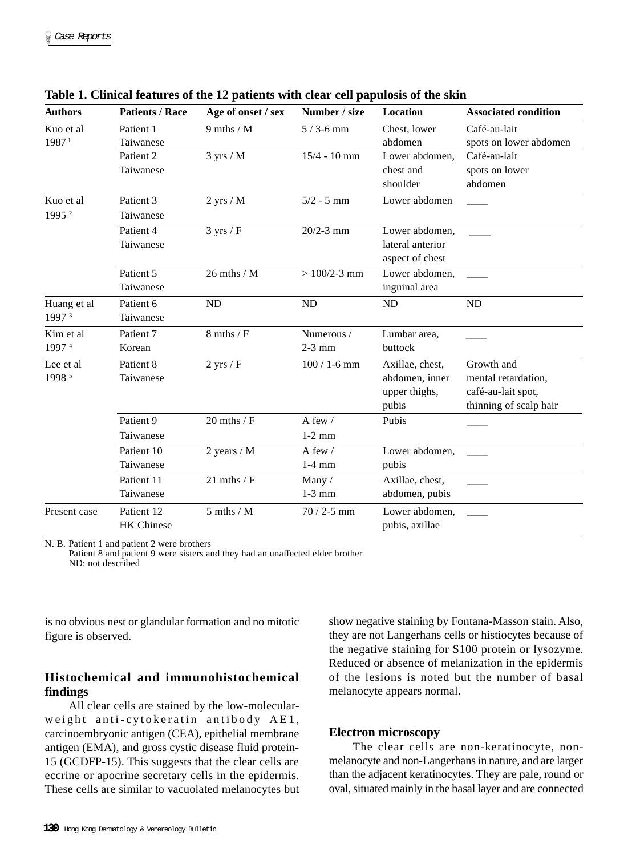| <b>Authors</b>    | <b>Patients / Race</b> | Age of onset / sex  | Number / size    | Location         | <b>Associated condition</b> |
|-------------------|------------------------|---------------------|------------------|------------------|-----------------------------|
| Kuo et al         | Patient 1              | $9$ mths / M        | $5/3$ -6 mm      | Chest, lower     | Café-au-lait                |
| 1987 <sup>1</sup> | Taiwanese              |                     |                  | abdomen          | spots on lower abdomen      |
|                   | Patient <sub>2</sub>   | $3$ yrs / M         | $15/4 - 10$ mm   | Lower abdomen,   | Café-au-lait                |
|                   | Taiwanese              |                     |                  | chest and        | spots on lower              |
|                   |                        |                     |                  | shoulder         | abdomen                     |
| Kuo et al         | Patient 3              | $2$ yrs / M         | $5/2 - 5$ mm     | Lower abdomen    |                             |
| 1995 <sup>2</sup> | Taiwanese              |                     |                  |                  |                             |
|                   | Patient 4              | $3 \text{ yrs} / F$ | $20/2 - 3$ mm    | Lower abdomen,   |                             |
|                   | Taiwanese              |                     |                  | lateral anterior |                             |
|                   |                        |                     |                  | aspect of chest  |                             |
|                   | Patient 5              | $26$ mths $/ M$     | $> 100/2 - 3$ mm | Lower abdomen,   |                             |
|                   | Taiwanese              |                     |                  | inguinal area    |                             |
| Huang et al       | Patient 6              | ND                  | <b>ND</b>        | ND               | <b>ND</b>                   |
| 1997 3            | Taiwanese              |                     |                  |                  |                             |
| Kim et al.        | Patient 7              | $8$ mths / F        | Numerous /       | Lumbar area,     |                             |
| 19974             | Korean                 |                     | $2-3$ mm         | buttock          |                             |
| Lee et al         | Patient 8              | $2$ yrs / F         | $100/1 - 6$ mm   | Axillae, chest,  | Growth and                  |
| 1998 5            | Taiwanese              |                     |                  | abdomen, inner   | mental retardation,         |
|                   |                        |                     |                  | upper thighs,    | café-au-lait spot,          |
|                   |                        |                     |                  | pubis            | thinning of scalp hair      |
|                   | Patient 9              | $20$ mths / $F$     | A few $/$        | Pubis            |                             |
|                   | Taiwanese              |                     | $1-2$ mm         |                  |                             |
|                   | Patient 10             | 2 years $/ M$       | A few /          | Lower abdomen,   |                             |
|                   | Taiwanese              |                     | $1-4$ mm         | pubis            |                             |
|                   | Patient 11             | $21$ mths / $F$     | Many/            | Axillae, chest,  |                             |
|                   | Taiwanese              |                     | $1-3$ mm         | abdomen, pubis   |                             |
| Present case      | Patient 12             | $5$ mths $/M$       | $70/2 - 5$ mm    | Lower abdomen,   |                             |
|                   | <b>HK</b> Chinese      |                     |                  | pubis, axillae   |                             |

| Table 1. Clinical features of the 12 patients with clear cell papulosis of the skin |
|-------------------------------------------------------------------------------------|
|-------------------------------------------------------------------------------------|

N. B. Patient 1 and patient 2 were brothers

Patient 8 and patient 9 were sisters and they had an unaffected elder brother ND: not described

is no obvious nest or glandular formation and no mitotic figure is observed.

# **Histochemical and immunohistochemical findings**

All clear cells are stained by the low-molecularweight anti-cytokeratin antibody AE1, carcinoembryonic antigen (CEA), epithelial membrane antigen (EMA), and gross cystic disease fluid protein-15 (GCDFP-15). This suggests that the clear cells are eccrine or apocrine secretary cells in the epidermis. These cells are similar to vacuolated melanocytes but show negative staining by Fontana-Masson stain. Also, they are not Langerhans cells or histiocytes because of the negative staining for S100 protein or lysozyme. Reduced or absence of melanization in the epidermis of the lesions is noted but the number of basal melanocyte appears normal.

# **Electron microscopy**

The clear cells are non-keratinocyte, nonmelanocyte and non-Langerhans in nature, and are larger than the adjacent keratinocytes. They are pale, round or oval, situated mainly in the basal layer and are connected